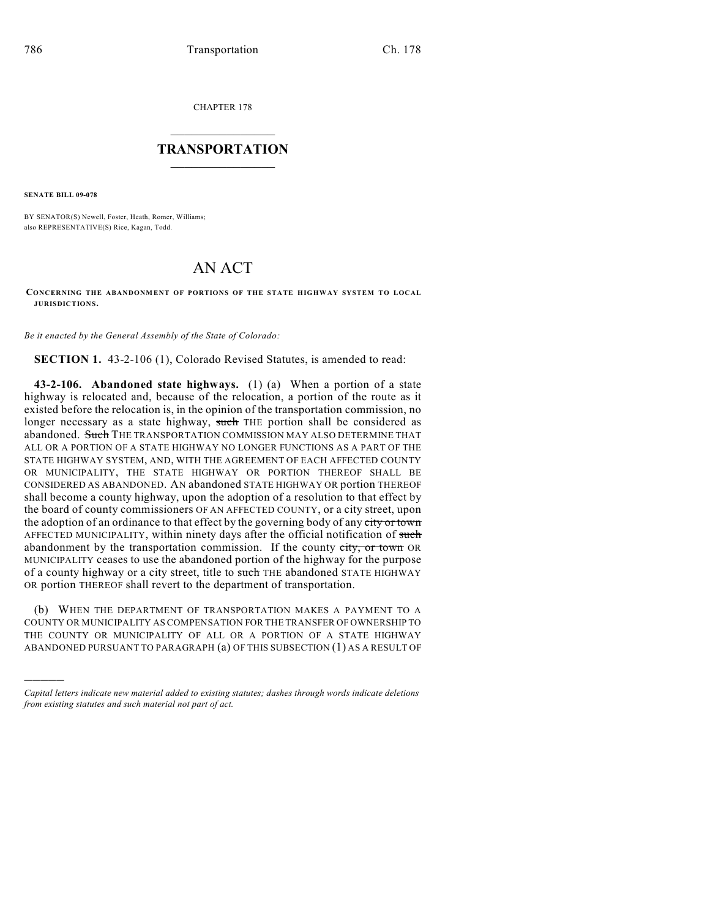CHAPTER 178

## $\overline{\phantom{a}}$  . The set of the set of the set of the set of the set of the set of the set of the set of the set of the set of the set of the set of the set of the set of the set of the set of the set of the set of the set o **TRANSPORTATION**  $\_$   $\_$   $\_$   $\_$   $\_$   $\_$   $\_$   $\_$   $\_$

**SENATE BILL 09-078**

)))))

BY SENATOR(S) Newell, Foster, Heath, Romer, Williams; also REPRESENTATIVE(S) Rice, Kagan, Todd.

## AN ACT

## **CONCERNING THE ABANDONMENT OF PORTIONS OF THE STATE HIGHWAY SYSTEM TO LOCAL JURISDICTIONS.**

*Be it enacted by the General Assembly of the State of Colorado:*

**SECTION 1.** 43-2-106 (1), Colorado Revised Statutes, is amended to read:

**43-2-106. Abandoned state highways.** (1) (a) When a portion of a state highway is relocated and, because of the relocation, a portion of the route as it existed before the relocation is, in the opinion of the transportation commission, no longer necessary as a state highway, such THE portion shall be considered as abandoned. Such THE TRANSPORTATION COMMISSION MAY ALSO DETERMINE THAT ALL OR A PORTION OF A STATE HIGHWAY NO LONGER FUNCTIONS AS A PART OF THE STATE HIGHWAY SYSTEM, AND, WITH THE AGREEMENT OF EACH AFFECTED COUNTY OR MUNICIPALITY, THE STATE HIGHWAY OR PORTION THEREOF SHALL BE CONSIDERED AS ABANDONED. AN abandoned STATE HIGHWAY OR portion THEREOF shall become a county highway, upon the adoption of a resolution to that effect by the board of county commissioners OF AN AFFECTED COUNTY, or a city street, upon the adoption of an ordinance to that effect by the governing body of any city or town AFFECTED MUNICIPALITY, within ninety days after the official notification of such abandonment by the transportation commission. If the county city, or town OR MUNICIPALITY ceases to use the abandoned portion of the highway for the purpose of a county highway or a city street, title to such THE abandoned STATE HIGHWAY OR portion THEREOF shall revert to the department of transportation.

(b) WHEN THE DEPARTMENT OF TRANSPORTATION MAKES A PAYMENT TO A COUNTY OR MUNICIPALITY AS COMPENSATION FOR THE TRANSFER OF OWNERSHIP TO THE COUNTY OR MUNICIPALITY OF ALL OR A PORTION OF A STATE HIGHWAY ABANDONED PURSUANT TO PARAGRAPH (a) OF THIS SUBSECTION (1) AS A RESULT OF

*Capital letters indicate new material added to existing statutes; dashes through words indicate deletions from existing statutes and such material not part of act.*